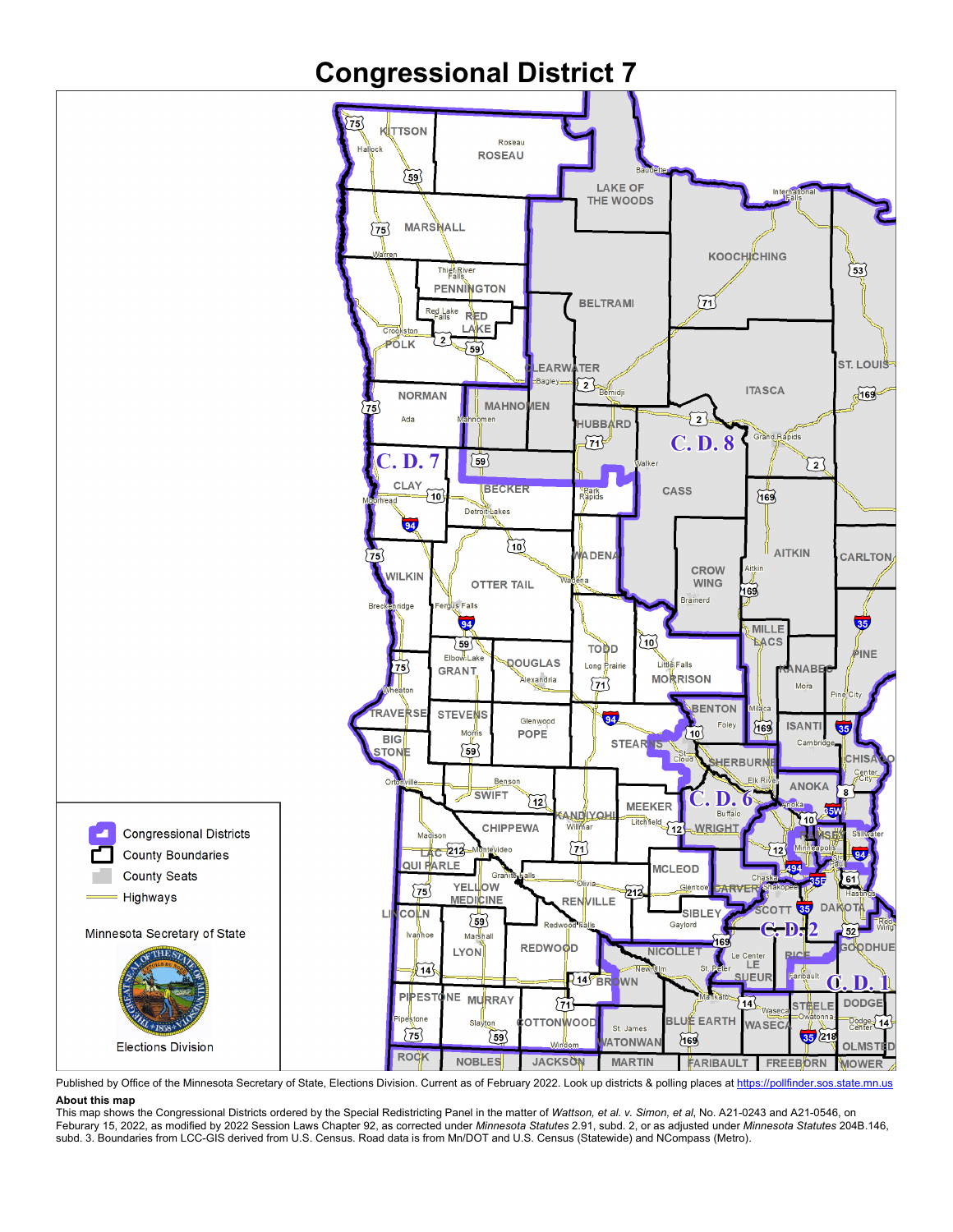## **Congressional District 7**



Published by Office of the Minnesota Secretary of State, Elections Division. Current as of February 2022. Look up districts & polling places a[t https://pollfinder.sos.state.mn.us](https://pollfinder.sos.state.mn.us/) **About this map**

This map shows the Congressional Districts ordered by the Special Redistricting Panel in the matter of *Wattson, et al. v. Simon, et al*, No. A21-0243 and A21-0546, on Feburary 15, 2022, as modified by 2022 Session Laws Chapter 92, as corrected under *Minnesota Statutes* 2.91, subd. 2, or as adjusted under *Minnesota Statutes* 204B.146, subd. 3. Boundaries from LCC-GIS derived from U.S. Census. Road data is from Mn/DOT and U.S. Census (Statewide) and NCompass (Metro).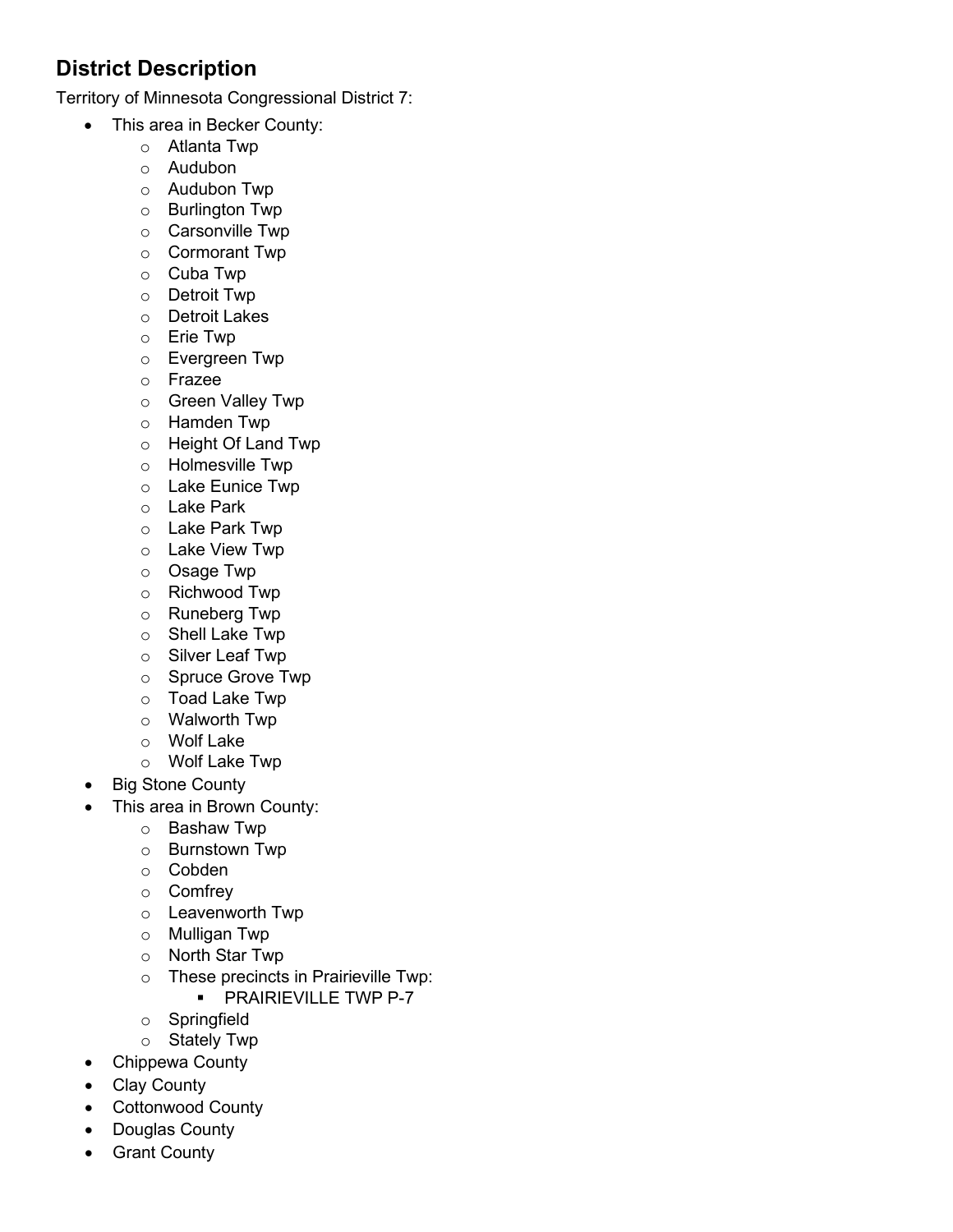## **District Description**

Territory of Minnesota Congressional District 7:

- This area in Becker County:
	- o Atlanta Twp
	- o Audubon
	- o Audubon Twp
	- o Burlington Twp
	- o Carsonville Twp
	- o Cormorant Twp
	- o Cuba Twp
	- o Detroit Twp
	- o Detroit Lakes
	- o Erie Twp
	- o Evergreen Twp
	- o Frazee
	- o Green Valley Twp
	- o Hamden Twp
	- o Height Of Land Twp
	- o Holmesville Twp
	- o Lake Eunice Twp
	- o Lake Park
	- o Lake Park Twp
	- o Lake View Twp
	- o Osage Twp
	- o Richwood Twp
	- o Runeberg Twp
	- o Shell Lake Twp
	- o Silver Leaf Twp
	- o Spruce Grove Twp
	- o Toad Lake Twp
	- o Walworth Twp
	- o Wolf Lake
	- o Wolf Lake Twp
- Big Stone County
- This area in Brown County:
	- o Bashaw Twp
	- o Burnstown Twp
	- o Cobden
	- o Comfrey
	- o Leavenworth Twp
	- o Mulligan Twp
	- o North Star Twp
	- o These precincts in Prairieville Twp:
		- **PRAIRIEVILLE TWP P-7**
	- o Springfield
	- o Stately Twp
- Chippewa County
- Clay County
- Cottonwood County
- Douglas County
- Grant County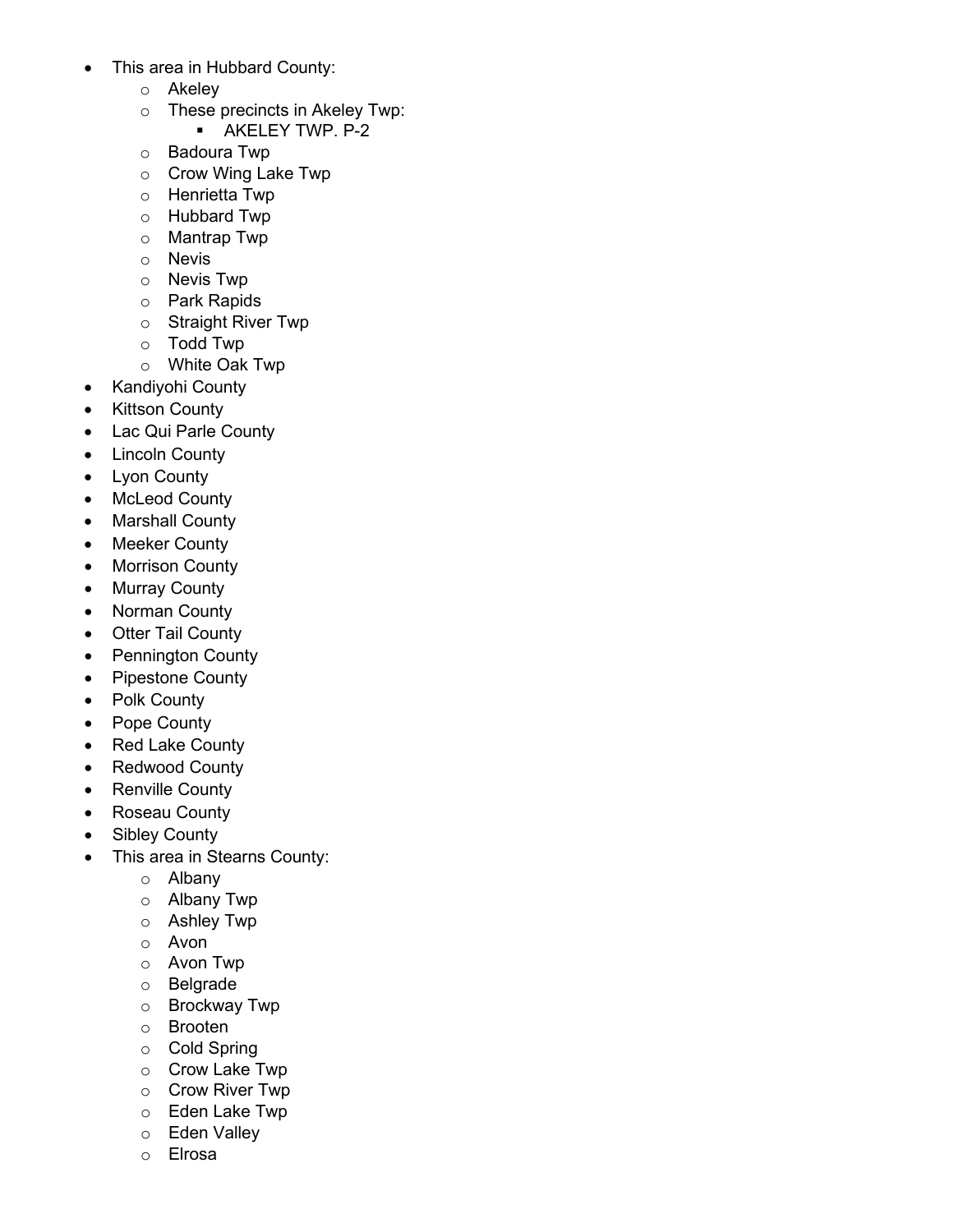- This area in Hubbard County:
	- o Akeley
	- o These precincts in Akeley Twp:
		- **AKELEY TWP. P-2**
	- o Badoura Twp
	- o Crow Wing Lake Twp
	- o Henrietta Twp
	- o Hubbard Twp
	- o Mantrap Twp
	- o Nevis
	- o Nevis Twp
	- o Park Rapids
	- o Straight River Twp
	- o Todd Twp
	- o White Oak Twp
- Kandiyohi County
- **Kittson County**
- Lac Qui Parle County
- Lincoln County
- Lyon County
- McLeod County
- Marshall County
- Meeker County
- Morrison County
- Murray County
- Norman County
- Otter Tail County
- Pennington County
- Pipestone County
- Polk County
- Pope County
- Red Lake County
- Redwood County
- Renville County
- Roseau County
- Sibley County
- This area in Stearns County:
	- o Albany
	- o Albany Twp
	- o Ashley Twp
	- o Avon
	- o Avon Twp
	- o Belgrade
	- o Brockway Twp
	- o Brooten
	- o Cold Spring
	- o Crow Lake Twp
	- o Crow River Twp
	- o Eden Lake Twp
	- o Eden Valley
	- o Elrosa